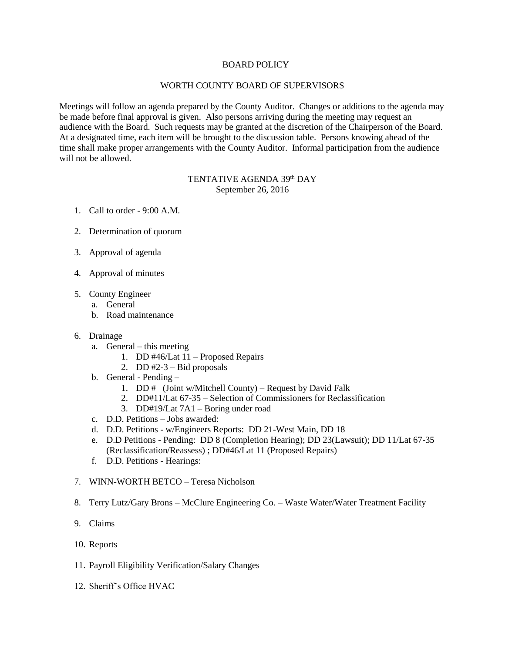# BOARD POLICY

# WORTH COUNTY BOARD OF SUPERVISORS

Meetings will follow an agenda prepared by the County Auditor. Changes or additions to the agenda may be made before final approval is given. Also persons arriving during the meeting may request an audience with the Board. Such requests may be granted at the discretion of the Chairperson of the Board. At a designated time, each item will be brought to the discussion table. Persons knowing ahead of the time shall make proper arrangements with the County Auditor. Informal participation from the audience will not be allowed.

# TENTATIVE AGENDA 39<sup>th</sup> DAY September 26, 2016

- 1. Call to order 9:00 A.M.
- 2. Determination of quorum
- 3. Approval of agenda
- 4. Approval of minutes
- 5. County Engineer
	- a. General
	- b. Road maintenance
- 6. Drainage
	- a. General this meeting
		- 1. DD #46/Lat 11 Proposed Repairs
		- 2. DD  $#2-3$  Bid proposals
	- b. General Pending
		- 1. DD  $\#$  (Joint w/Mitchell County) Request by David Falk
		- 2. DD#11/Lat 67-35 Selection of Commissioners for Reclassification
		- 3. DD#19/Lat 7A1 Boring under road
	- c. D.D. Petitions Jobs awarded:
	- d. D.D. Petitions w/Engineers Reports: DD 21-West Main, DD 18
	- e. D.D Petitions Pending: DD 8 (Completion Hearing); DD 23(Lawsuit); DD 11/Lat 67-35 (Reclassification/Reassess) ; DD#46/Lat 11 (Proposed Repairs)
	- f. D.D. Petitions Hearings:
- 7. WINN-WORTH BETCO Teresa Nicholson
- 8. Terry Lutz/Gary Brons McClure Engineering Co. Waste Water/Water Treatment Facility
- 9. Claims
- 10. Reports
- 11. Payroll Eligibility Verification/Salary Changes
- 12. Sheriff's Office HVAC